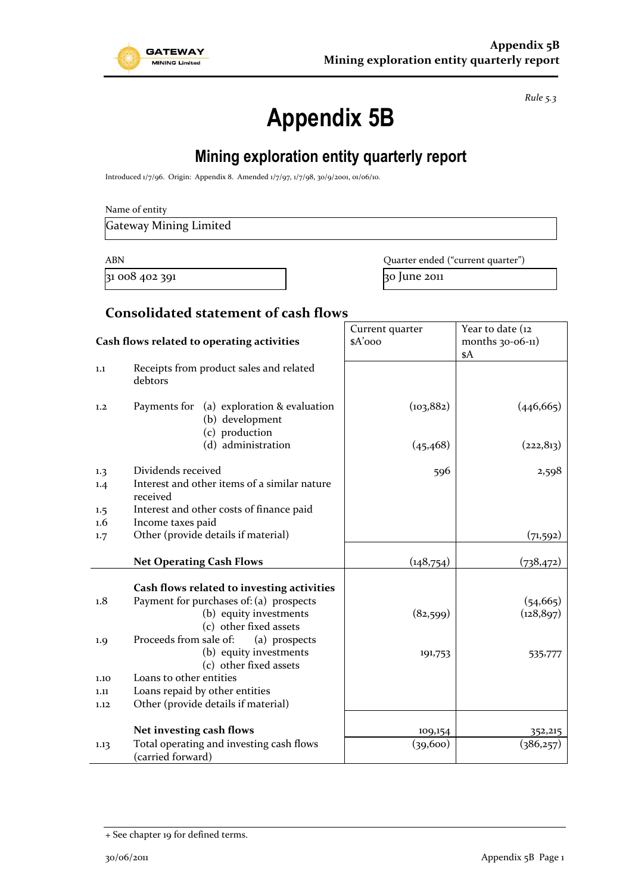

*Rule 5.3*

# **Appendix 5B**

# **Mining exploration entity quarterly report**

Introduced 1/7/96. Origin: Appendix 8. Amended 1/7/97, 1/7/98, 30/9/2001, 01/06/10.

| Name of entity |
|----------------|
|----------------|

Gateway Mining Limited

 $31\,008\,402\,391$   $30\,$  June 2011

ABN **ABN** Quarter ended ("current quarter")

### **Consolidated statement of cash flows**

|                                            |                                                                                | Current quarter | Year to date (12    |
|--------------------------------------------|--------------------------------------------------------------------------------|-----------------|---------------------|
| Cash flows related to operating activities |                                                                                | \$A'ooo         | months $30-06-11$ ) |
|                                            |                                                                                |                 | \$A                 |
| 1.1                                        | Receipts from product sales and related<br>debtors                             |                 |                     |
| 1.2                                        | Payments for (a) exploration & evaluation<br>(b) development<br>(c) production | (103, 882)      | (446, 665)          |
|                                            | (d) administration                                                             | (45, 468)       | (222, 813)          |
| 1.3                                        | Dividends received                                                             | 596             | 2,598               |
| 1.4                                        | Interest and other items of a similar nature<br>received                       |                 |                     |
| 1.5                                        | Interest and other costs of finance paid                                       |                 |                     |
| 1.6                                        | Income taxes paid                                                              |                 |                     |
| 1.7                                        | Other (provide details if material)                                            |                 | (71, 592)           |
|                                            | <b>Net Operating Cash Flows</b>                                                | (148, 754)      | (738, 472)          |
|                                            |                                                                                |                 |                     |
|                                            | Cash flows related to investing activities                                     |                 |                     |
| 1.8                                        | Payment for purchases of: (a) prospects                                        |                 | (54, 665)           |
|                                            | (b) equity investments                                                         | (82,599)        | (128, 897)          |
|                                            | (c) other fixed assets                                                         |                 |                     |
| 1.9                                        | Proceeds from sale of:<br>(a) prospects                                        |                 |                     |
|                                            | (b) equity investments                                                         | 191,753         | 535,777             |
|                                            | (c) other fixed assets                                                         |                 |                     |
| 1.10                                       | Loans to other entities                                                        |                 |                     |
| 1.11                                       | Loans repaid by other entities                                                 |                 |                     |
| 1.12                                       | Other (provide details if material)                                            |                 |                     |
|                                            |                                                                                |                 |                     |
|                                            | Net investing cash flows                                                       | 109,154         | 352,215             |
| 1.13                                       | Total operating and investing cash flows<br>(carried forward)                  | (39,600)        | (386,257)           |

<sup>+</sup> See chapter 19 for defined terms.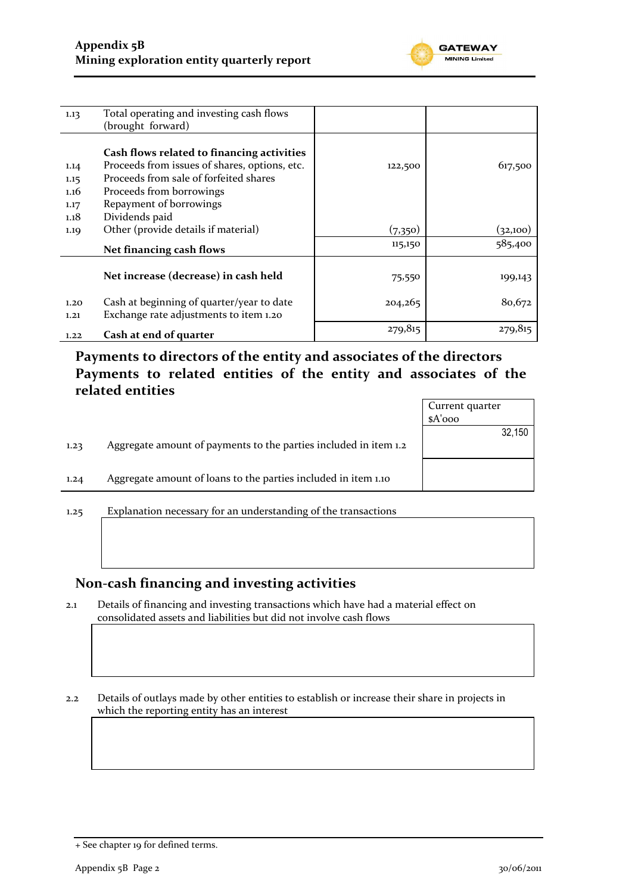

| 1.13 | Total operating and investing cash flows      |         |          |
|------|-----------------------------------------------|---------|----------|
|      | (brought forward)                             |         |          |
|      |                                               |         |          |
|      | Cash flows related to financing activities    |         |          |
| 1.14 | Proceeds from issues of shares, options, etc. | 122,500 | 617,500  |
| 1.15 | Proceeds from sale of forfeited shares        |         |          |
| 1.16 | Proceeds from borrowings                      |         |          |
| 1.17 | Repayment of borrowings                       |         |          |
| 1.18 | Dividends paid                                |         |          |
| 1.19 | Other (provide details if material)           | (7,350) | (32,100) |
|      | Net financing cash flows                      | 115,150 | 585,400  |
|      |                                               |         |          |
|      | Net increase (decrease) in cash held          | 75,550  | 199,143  |
|      | Cash at beginning of quarter/year to date     |         |          |
| 1.20 |                                               | 204,265 | 80,672   |
| 1,21 | Exchange rate adjustments to item 1.20        |         |          |
| 1.22 | Cash at end of quarter                        | 279,815 | 279,815  |

**Payments to directors of the entity and associates of the directors Payments to related entities of the entity and associates of the related entities**

|      |                                                                  | Current quarter |
|------|------------------------------------------------------------------|-----------------|
|      |                                                                  | $A'$ ooo        |
|      |                                                                  | 32,150          |
| 1.23 | Aggregate amount of payments to the parties included in item 1.2 |                 |
| 1.24 | Aggregate amount of loans to the parties included in item 1.10   |                 |
|      |                                                                  |                 |
|      |                                                                  |                 |

1.25 Explanation necessary for an understanding of the transactions

#### **Non-cash financing and investing activities**

2.1 Details of financing and investing transactions which have had a material effect on consolidated assets and liabilities but did not involve cash flows

2.2 Details of outlays made by other entities to establish or increase their share in projects in which the reporting entity has an interest

<sup>+</sup> See chapter 19 for defined terms.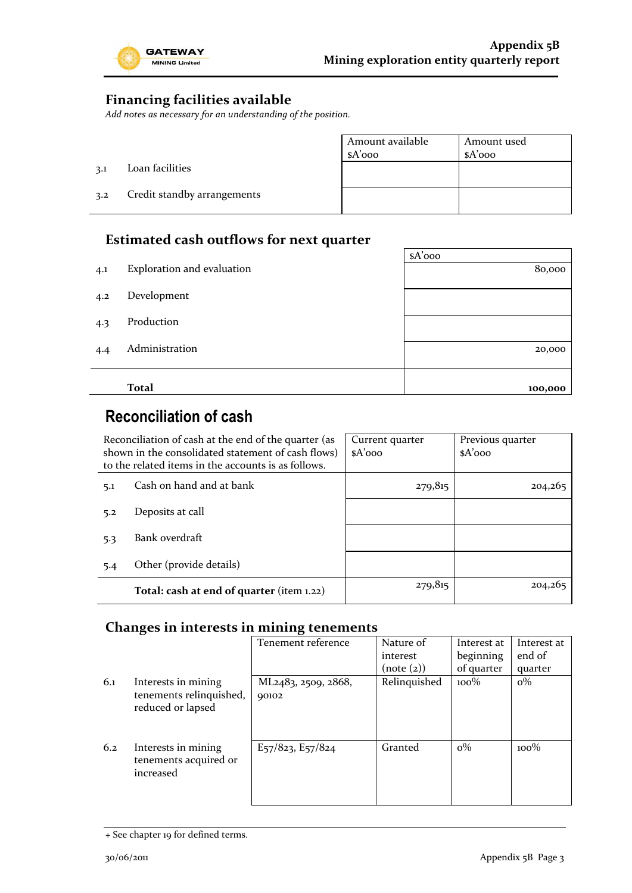

 $\overline{\phantom{a}}$ 

### **Financing facilities available**

*Add notes as necessary for an understanding of the position.*

|     |                             | Amount available<br>$A'$ 000 | Amount used<br>$A'$ 000 |
|-----|-----------------------------|------------------------------|-------------------------|
| 3.1 | Loan facilities             |                              |                         |
| 3.2 | Credit standby arrangements |                              |                         |

### **Estimated cash outflows for next quarter**

|     |                            | $A'$ 000 |
|-----|----------------------------|----------|
| 4.1 | Exploration and evaluation | 80,000   |
| 4.2 | Development                |          |
| 4.3 | Production                 |          |
| 4.4 | Administration             | 20,000   |
|     |                            |          |
|     | <b>Total</b>               | 100,000  |

# **Reconciliation of cash**

| Reconciliation of cash at the end of the quarter (as<br>shown in the consolidated statement of cash flows)<br>to the related items in the accounts is as follows. |                                           | Current quarter<br>$A'$ 000 | Previous quarter<br>$A'$ 000 |
|-------------------------------------------------------------------------------------------------------------------------------------------------------------------|-------------------------------------------|-----------------------------|------------------------------|
| 5.1                                                                                                                                                               | Cash on hand and at bank                  | 279,815                     | 204,265                      |
| 5.2                                                                                                                                                               | Deposits at call                          |                             |                              |
| 5.3                                                                                                                                                               | Bank overdraft                            |                             |                              |
| 5.4                                                                                                                                                               | Other (provide details)                   |                             |                              |
|                                                                                                                                                                   | Total: cash at end of quarter (item 1.22) | 279,815                     | 204,265                      |

### **Changes in interests in mining tenements**

|     |                                                                     | Tenement reference                                     | Nature of<br>interest<br>(note (2)) | Interest at<br>beginning<br>of quarter | Interest at<br>end of<br>quarter |
|-----|---------------------------------------------------------------------|--------------------------------------------------------|-------------------------------------|----------------------------------------|----------------------------------|
| 6.1 | Interests in mining<br>tenements relinquished,<br>reduced or lapsed | ML <sub>24</sub> 8 <sub>3</sub> , 2509, 2868,<br>90102 | Relinquished                        | $100\%$                                | $o\%$                            |
| 6.2 | Interests in mining<br>tenements acquired or<br>increased           | $E_{57}/823$ , $E_{57}/824$                            | Granted                             | $\rm o\%$                              | $100\%$                          |

<sup>+</sup> See chapter 19 for defined terms.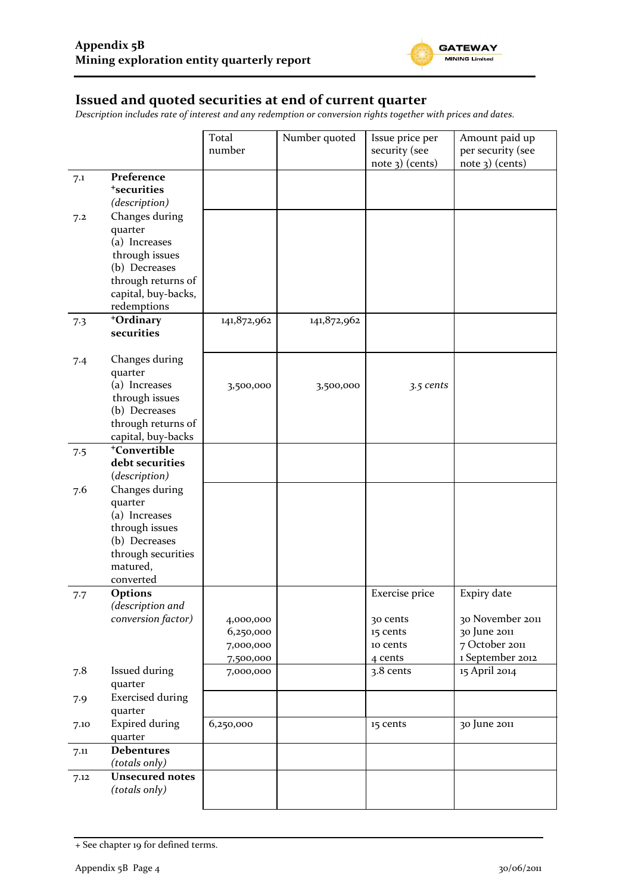

### **Issued and quoted securities at end of current quarter**

*Description includes rate of interest and any redemption or conversion rights together with prices and dates.*

|      |                          | Total       | Number quoted | Issue price per   | Amount paid up    |
|------|--------------------------|-------------|---------------|-------------------|-------------------|
|      |                          | number      |               | security (see     | per security (see |
|      |                          |             |               | $note$ 3) (cents) | $note$ 3) (cents) |
| 7.1  | Preference               |             |               |                   |                   |
|      | <sup>+</sup> securities  |             |               |                   |                   |
|      | (description)            |             |               |                   |                   |
| 7.2  | Changes during           |             |               |                   |                   |
|      | quarter                  |             |               |                   |                   |
|      | (a) Increases            |             |               |                   |                   |
|      | through issues           |             |               |                   |                   |
|      | (b) Decreases            |             |               |                   |                   |
|      | through returns of       |             |               |                   |                   |
|      | capital, buy-backs,      |             |               |                   |                   |
|      | redemptions              |             |               |                   |                   |
| 7.3  | +Ordinary                | 141,872,962 | 141,872,962   |                   |                   |
|      | securities               |             |               |                   |                   |
|      |                          |             |               |                   |                   |
| 7.4  | Changes during           |             |               |                   |                   |
|      | quarter                  |             |               |                   |                   |
|      | (a) Increases            | 3,500,000   | 3,500,000     | 3.5 cents         |                   |
|      | through issues           |             |               |                   |                   |
|      | (b) Decreases            |             |               |                   |                   |
|      | through returns of       |             |               |                   |                   |
|      | capital, buy-backs       |             |               |                   |                   |
| 7.5  | <sup>+</sup> Convertible |             |               |                   |                   |
|      | debt securities          |             |               |                   |                   |
|      | (description)            |             |               |                   |                   |
| 7.6  | Changes during           |             |               |                   |                   |
|      | quarter                  |             |               |                   |                   |
|      | (a) Increases            |             |               |                   |                   |
|      | through issues           |             |               |                   |                   |
|      | (b) Decreases            |             |               |                   |                   |
|      | through securities       |             |               |                   |                   |
|      | matured,<br>converted    |             |               |                   |                   |
|      | <b>Options</b>           |             |               | Exercise price    | Expiry date       |
| 7.7  | (description and         |             |               |                   |                   |
|      | conversion factor)       | 4,000,000   |               | 30 cents          | 30 November 2011  |
|      |                          | 6,250,000   |               | 15 cents          | 30 June 2011      |
|      |                          | 7,000,000   |               | 10 cents          | 7 October 2011    |
|      |                          | 7,500,000   |               | 4 cents           | 1 September 2012  |
| 7.8  | Issued during            | 7,000,000   |               | 3.8 cents         | 15 April 2014     |
|      | quarter                  |             |               |                   |                   |
| 7.9  | <b>Exercised during</b>  |             |               |                   |                   |
|      | quarter                  |             |               |                   |                   |
| 7.10 | <b>Expired during</b>    | 6,250,000   |               | 15 cents          | 30 June 2011      |
|      | quarter                  |             |               |                   |                   |
| 7.11 | <b>Debentures</b>        |             |               |                   |                   |
|      | (totals only)            |             |               |                   |                   |
| 7.12 | <b>Unsecured notes</b>   |             |               |                   |                   |
|      | (totals only)            |             |               |                   |                   |
|      |                          |             |               |                   |                   |

<sup>+</sup> See chapter 19 for defined terms.